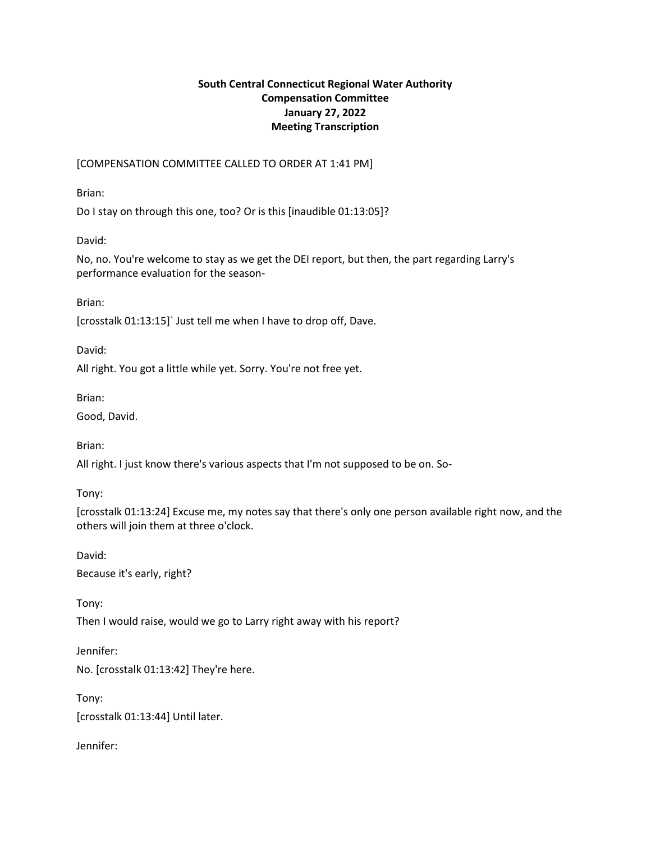# **South Central Connecticut Regional Water Authority Compensation Committee January 27, 2022 Meeting Transcription**

[COMPENSATION COMMITTEE CALLED TO ORDER AT 1:41 PM]

Brian:

Do I stay on through this one, too? Or is this [inaudible 01:13:05]?

David:

No, no. You're welcome to stay as we get the DEI report, but then, the part regarding Larry's performance evaluation for the season-

Brian:

[crosstalk 01:13:15]` Just tell me when I have to drop off, Dave.

David:

All right. You got a little while yet. Sorry. You're not free yet.

Brian:

Good, David.

Brian:

All right. I just know there's various aspects that I'm not supposed to be on. So-

Tony:

[crosstalk 01:13:24] Excuse me, my notes say that there's only one person available right now, and the others will join them at three o'clock.

David: Because it's early, right?

Tony: Then I would raise, would we go to Larry right away with his report?

Jennifer: No. [crosstalk 01:13:42] They're here.

Tony: [crosstalk 01:13:44] Until later.

Jennifer: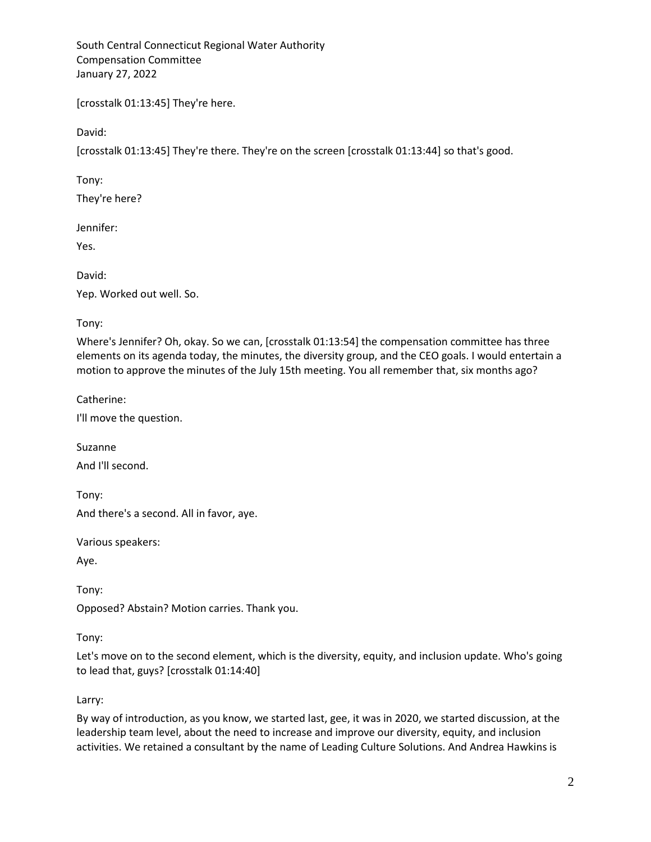[crosstalk 01:13:45] They're here.

David:

[crosstalk 01:13:45] They're there. They're on the screen [crosstalk 01:13:44] so that's good.

Tony:

They're here?

Jennifer:

Yes.

David: Yep. Worked out well. So.

Tony:

Where's Jennifer? Oh, okay. So we can, [crosstalk 01:13:54] the compensation committee has three elements on its agenda today, the minutes, the diversity group, and the CEO goals. I would entertain a motion to approve the minutes of the July 15th meeting. You all remember that, six months ago?

Catherine:

I'll move the question.

Suzanne And I'll second.

Tony: And there's a second. All in favor, aye.

Various speakers:

Aye.

Tony:

Opposed? Abstain? Motion carries. Thank you.

Tony:

Let's move on to the second element, which is the diversity, equity, and inclusion update. Who's going to lead that, guys? [crosstalk 01:14:40]

Larry:

By way of introduction, as you know, we started last, gee, it was in 2020, we started discussion, at the leadership team level, about the need to increase and improve our diversity, equity, and inclusion activities. We retained a consultant by the name of Leading Culture Solutions. And Andrea Hawkins is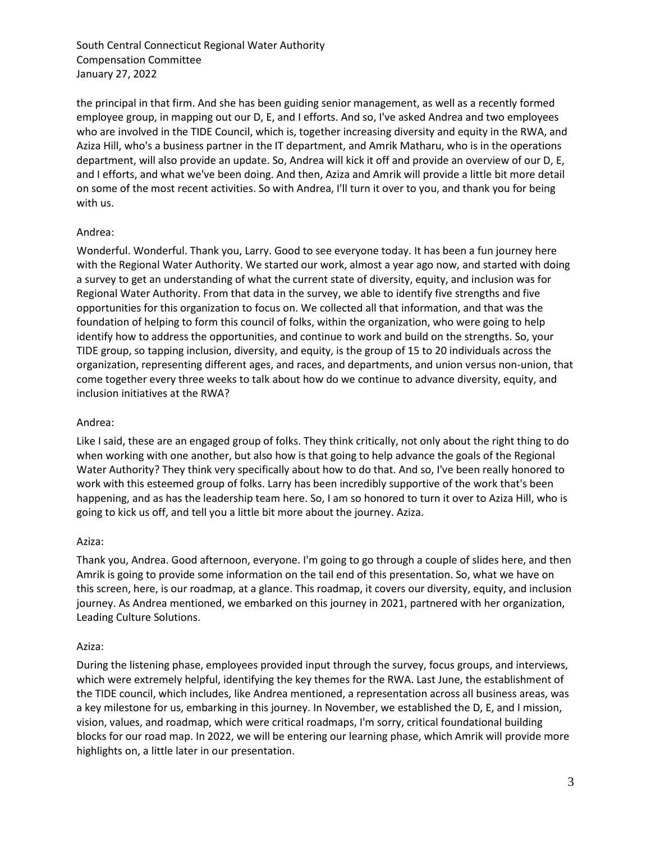the principal in that firm. And she has been guiding senior management, as well as a recently formed employee group, in mapping out our D, E, and I efforts. And so, I've asked Andrea and two employees who are involved in the TIDE Council, which is, together increasing diversity and equity in the RWA, and Aziza Hill, who's a business partner in the IT department, and Amrik Matharu, who is in the operations department, will also provide an update. So, Andrea will kick it off and provide an overview of our D, E, and I efforts, and what we've been doing. And then, Aziza and Amrik will provide a little bit more detail on some of the most recent activities. So with Andrea, I'll turn it over to you, and thank you for being with us.

## Andrea:

Wonderful. Wonderful. Thank you, Larry. Good to see everyone today. It has been a fun journey here with the Regional Water Authority. We started our work, almost a year ago now, and started with doing a survey to get an understanding of what the current state of diversity, equity, and inclusion was for Regional Water Authority. From that data in the survey, we able to identify five strengths and five opportunities for this organization to focus on. We collected all that information, and that was the foundation of helping to form this council of folks, within the organization, who were going to help identify how to address the opportunities, and continue to work and build on the strengths. So, your TIDE group, so tapping inclusion, diversity, and equity, is the group of 15 to 20 individuals across the organization, representing different ages, and races, and departments, and union versus non-union, that come together every three weeks to talk about how do we continue to advance diversity, equity, and inclusion initiatives at the RWA?

## Andrea:

Like I said, these are an engaged group of folks. They think critically, not only about the right thing to do when working with one another, but also how is that going to help advance the goals of the Regional Water Authority? They think very specifically about how to do that. And so, I've been really honored to work with this esteemed group of folks. Larry has been incredibly supportive of the work that's been happening, and as has the leadership team here. So, I am so honored to turn it over to Aziza Hill, who is going to kick us off, and tell you a little bit more about the journey. Aziza.

## Aziza:

Thank you, Andrea. Good afternoon, everyone. I'm going to go through a couple of slides here, and then Amrik is going to provide some information on the tail end of this presentation. So, what we have on this screen, here, is our roadmap, at a glance. This roadmap, it covers our diversity, equity, and inclusion journey. As Andrea mentioned, we embarked on this journey in 2021, partnered with her organization, Leading Culture Solutions.

## Aziza:

During the listening phase, employees provided input through the survey, focus groups, and interviews, which were extremely helpful, identifying the key themes for the RWA. Last June, the establishment of the TIDE council, which includes, like Andrea mentioned, a representation across all business areas, was a key milestone for us, embarking in this journey. In November, we established the D, E, and I mission, vision, values, and roadmap, which were critical roadmaps, I'm sorry, critical foundational building blocks for our road map. In 2022, we will be entering our learning phase, which Amrik will provide more highlights on, a little later in our presentation.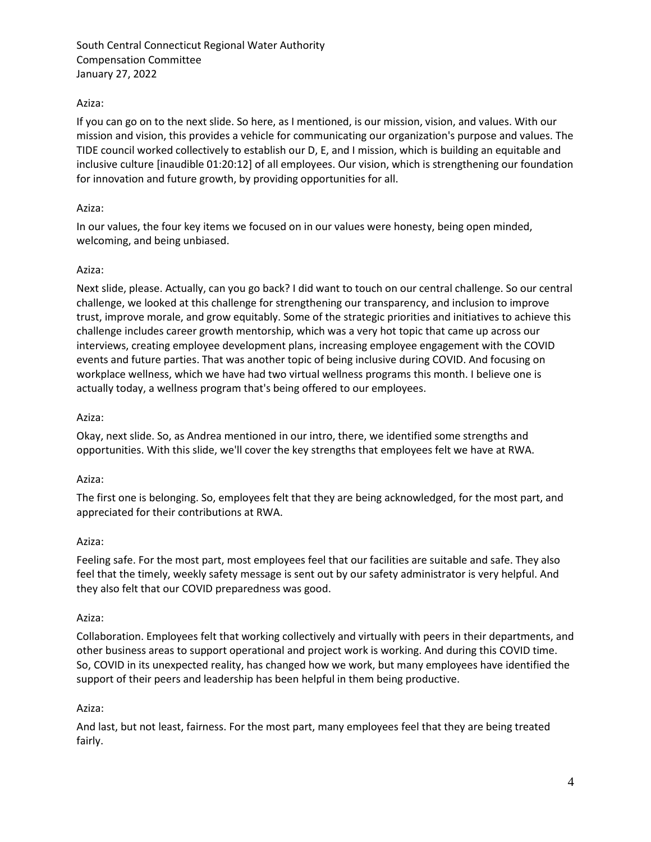# Aziza:

If you can go on to the next slide. So here, as I mentioned, is our mission, vision, and values. With our mission and vision, this provides a vehicle for communicating our organization's purpose and values. The TIDE council worked collectively to establish our D, E, and I mission, which is building an equitable and inclusive culture [inaudible 01:20:12] of all employees. Our vision, which is strengthening our foundation for innovation and future growth, by providing opportunities for all.

## Aziza:

In our values, the four key items we focused on in our values were honesty, being open minded, welcoming, and being unbiased.

## Aziza:

Next slide, please. Actually, can you go back? I did want to touch on our central challenge. So our central challenge, we looked at this challenge for strengthening our transparency, and inclusion to improve trust, improve morale, and grow equitably. Some of the strategic priorities and initiatives to achieve this challenge includes career growth mentorship, which was a very hot topic that came up across our interviews, creating employee development plans, increasing employee engagement with the COVID events and future parties. That was another topic of being inclusive during COVID. And focusing on workplace wellness, which we have had two virtual wellness programs this month. I believe one is actually today, a wellness program that's being offered to our employees.

## Aziza:

Okay, next slide. So, as Andrea mentioned in our intro, there, we identified some strengths and opportunities. With this slide, we'll cover the key strengths that employees felt we have at RWA.

## Aziza:

The first one is belonging. So, employees felt that they are being acknowledged, for the most part, and appreciated for their contributions at RWA.

## Aziza:

Feeling safe. For the most part, most employees feel that our facilities are suitable and safe. They also feel that the timely, weekly safety message is sent out by our safety administrator is very helpful. And they also felt that our COVID preparedness was good.

## Aziza:

Collaboration. Employees felt that working collectively and virtually with peers in their departments, and other business areas to support operational and project work is working. And during this COVID time. So, COVID in its unexpected reality, has changed how we work, but many employees have identified the support of their peers and leadership has been helpful in them being productive.

## Aziza:

And last, but not least, fairness. For the most part, many employees feel that they are being treated fairly.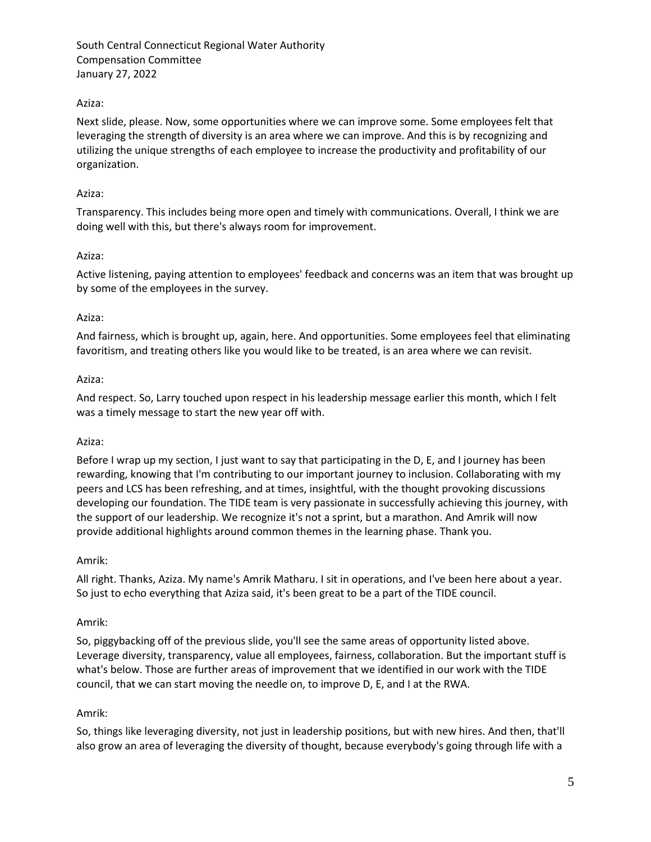## Aziza:

Next slide, please. Now, some opportunities where we can improve some. Some employees felt that leveraging the strength of diversity is an area where we can improve. And this is by recognizing and utilizing the unique strengths of each employee to increase the productivity and profitability of our organization.

## Aziza:

Transparency. This includes being more open and timely with communications. Overall, I think we are doing well with this, but there's always room for improvement.

## Aziza:

Active listening, paying attention to employees' feedback and concerns was an item that was brought up by some of the employees in the survey.

## Aziza:

And fairness, which is brought up, again, here. And opportunities. Some employees feel that eliminating favoritism, and treating others like you would like to be treated, is an area where we can revisit.

## Aziza:

And respect. So, Larry touched upon respect in his leadership message earlier this month, which I felt was a timely message to start the new year off with.

## Aziza:

Before I wrap up my section, I just want to say that participating in the D, E, and I journey has been rewarding, knowing that I'm contributing to our important journey to inclusion. Collaborating with my peers and LCS has been refreshing, and at times, insightful, with the thought provoking discussions developing our foundation. The TIDE team is very passionate in successfully achieving this journey, with the support of our leadership. We recognize it's not a sprint, but a marathon. And Amrik will now provide additional highlights around common themes in the learning phase. Thank you.

## Amrik:

All right. Thanks, Aziza. My name's Amrik Matharu. I sit in operations, and I've been here about a year. So just to echo everything that Aziza said, it's been great to be a part of the TIDE council.

## Amrik:

So, piggybacking off of the previous slide, you'll see the same areas of opportunity listed above. Leverage diversity, transparency, value all employees, fairness, collaboration. But the important stuff is what's below. Those are further areas of improvement that we identified in our work with the TIDE council, that we can start moving the needle on, to improve D, E, and I at the RWA.

## Amrik:

So, things like leveraging diversity, not just in leadership positions, but with new hires. And then, that'll also grow an area of leveraging the diversity of thought, because everybody's going through life with a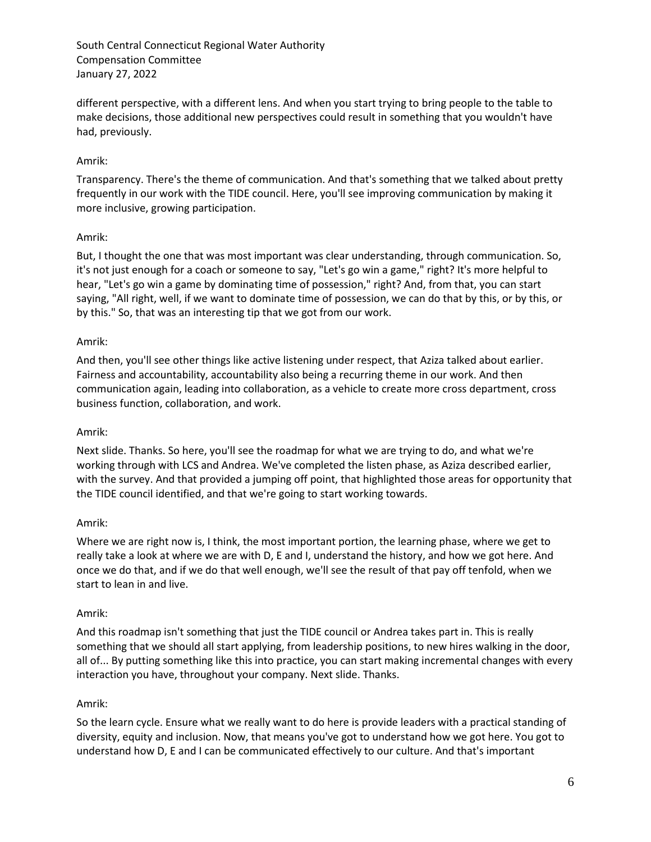different perspective, with a different lens. And when you start trying to bring people to the table to make decisions, those additional new perspectives could result in something that you wouldn't have had, previously.

## Amrik:

Transparency. There's the theme of communication. And that's something that we talked about pretty frequently in our work with the TIDE council. Here, you'll see improving communication by making it more inclusive, growing participation.

## Amrik:

But, I thought the one that was most important was clear understanding, through communication. So, it's not just enough for a coach or someone to say, "Let's go win a game," right? It's more helpful to hear, "Let's go win a game by dominating time of possession," right? And, from that, you can start saying, "All right, well, if we want to dominate time of possession, we can do that by this, or by this, or by this." So, that was an interesting tip that we got from our work.

## Amrik:

And then, you'll see other things like active listening under respect, that Aziza talked about earlier. Fairness and accountability, accountability also being a recurring theme in our work. And then communication again, leading into collaboration, as a vehicle to create more cross department, cross business function, collaboration, and work.

## Amrik:

Next slide. Thanks. So here, you'll see the roadmap for what we are trying to do, and what we're working through with LCS and Andrea. We've completed the listen phase, as Aziza described earlier, with the survey. And that provided a jumping off point, that highlighted those areas for opportunity that the TIDE council identified, and that we're going to start working towards.

## Amrik:

Where we are right now is, I think, the most important portion, the learning phase, where we get to really take a look at where we are with D, E and I, understand the history, and how we got here. And once we do that, and if we do that well enough, we'll see the result of that pay off tenfold, when we start to lean in and live.

## Amrik:

And this roadmap isn't something that just the TIDE council or Andrea takes part in. This is really something that we should all start applying, from leadership positions, to new hires walking in the door, all of... By putting something like this into practice, you can start making incremental changes with every interaction you have, throughout your company. Next slide. Thanks.

## Amrik:

So the learn cycle. Ensure what we really want to do here is provide leaders with a practical standing of diversity, equity and inclusion. Now, that means you've got to understand how we got here. You got to understand how D, E and I can be communicated effectively to our culture. And that's important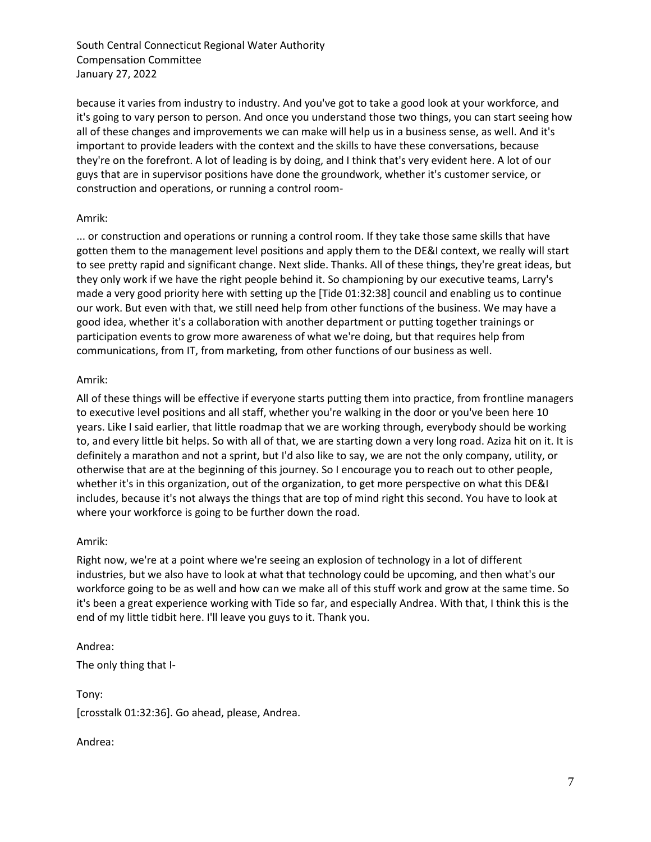because it varies from industry to industry. And you've got to take a good look at your workforce, and it's going to vary person to person. And once you understand those two things, you can start seeing how all of these changes and improvements we can make will help us in a business sense, as well. And it's important to provide leaders with the context and the skills to have these conversations, because they're on the forefront. A lot of leading is by doing, and I think that's very evident here. A lot of our guys that are in supervisor positions have done the groundwork, whether it's customer service, or construction and operations, or running a control room-

#### Amrik:

... or construction and operations or running a control room. If they take those same skills that have gotten them to the management level positions and apply them to the DE&I context, we really will start to see pretty rapid and significant change. Next slide. Thanks. All of these things, they're great ideas, but they only work if we have the right people behind it. So championing by our executive teams, Larry's made a very good priority here with setting up the [Tide 01:32:38] council and enabling us to continue our work. But even with that, we still need help from other functions of the business. We may have a good idea, whether it's a collaboration with another department or putting together trainings or participation events to grow more awareness of what we're doing, but that requires help from communications, from IT, from marketing, from other functions of our business as well.

#### Amrik:

All of these things will be effective if everyone starts putting them into practice, from frontline managers to executive level positions and all staff, whether you're walking in the door or you've been here 10 years. Like I said earlier, that little roadmap that we are working through, everybody should be working to, and every little bit helps. So with all of that, we are starting down a very long road. Aziza hit on it. It is definitely a marathon and not a sprint, but I'd also like to say, we are not the only company, utility, or otherwise that are at the beginning of this journey. So I encourage you to reach out to other people, whether it's in this organization, out of the organization, to get more perspective on what this DE&I includes, because it's not always the things that are top of mind right this second. You have to look at where your workforce is going to be further down the road.

#### Amrik:

Right now, we're at a point where we're seeing an explosion of technology in a lot of different industries, but we also have to look at what that technology could be upcoming, and then what's our workforce going to be as well and how can we make all of this stuff work and grow at the same time. So it's been a great experience working with Tide so far, and especially Andrea. With that, I think this is the end of my little tidbit here. I'll leave you guys to it. Thank you.

#### Andrea:

The only thing that I-

Tony: [crosstalk 01:32:36]. Go ahead, please, Andrea.

## Andrea: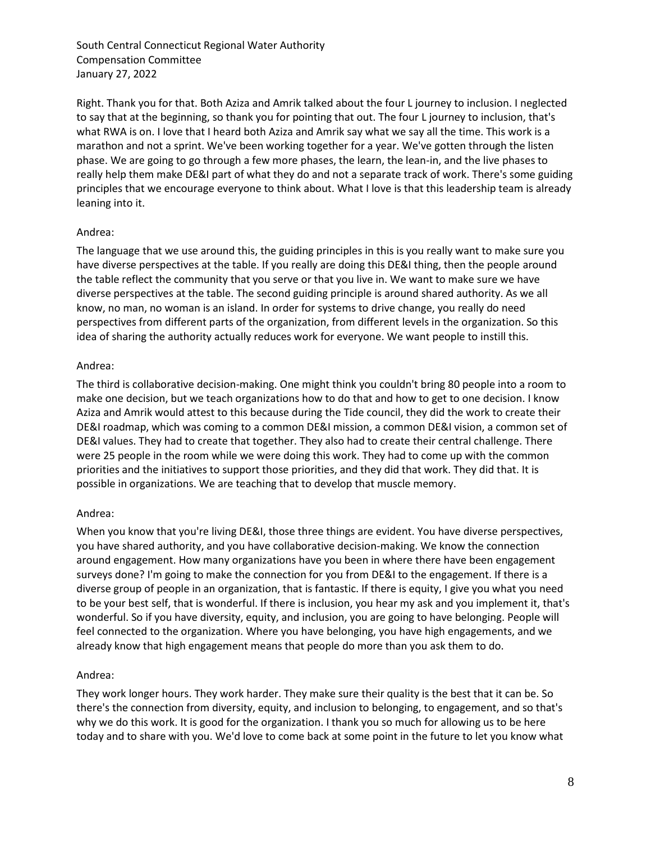Right. Thank you for that. Both Aziza and Amrik talked about the four L journey to inclusion. I neglected to say that at the beginning, so thank you for pointing that out. The four L journey to inclusion, that's what RWA is on. I love that I heard both Aziza and Amrik say what we say all the time. This work is a marathon and not a sprint. We've been working together for a year. We've gotten through the listen phase. We are going to go through a few more phases, the learn, the lean-in, and the live phases to really help them make DE&I part of what they do and not a separate track of work. There's some guiding principles that we encourage everyone to think about. What I love is that this leadership team is already leaning into it.

## Andrea:

The language that we use around this, the guiding principles in this is you really want to make sure you have diverse perspectives at the table. If you really are doing this DE&I thing, then the people around the table reflect the community that you serve or that you live in. We want to make sure we have diverse perspectives at the table. The second guiding principle is around shared authority. As we all know, no man, no woman is an island. In order for systems to drive change, you really do need perspectives from different parts of the organization, from different levels in the organization. So this idea of sharing the authority actually reduces work for everyone. We want people to instill this.

## Andrea:

The third is collaborative decision-making. One might think you couldn't bring 80 people into a room to make one decision, but we teach organizations how to do that and how to get to one decision. I know Aziza and Amrik would attest to this because during the Tide council, they did the work to create their DE&I roadmap, which was coming to a common DE&I mission, a common DE&I vision, a common set of DE&I values. They had to create that together. They also had to create their central challenge. There were 25 people in the room while we were doing this work. They had to come up with the common priorities and the initiatives to support those priorities, and they did that work. They did that. It is possible in organizations. We are teaching that to develop that muscle memory.

## Andrea:

When you know that you're living DE&I, those three things are evident. You have diverse perspectives, you have shared authority, and you have collaborative decision-making. We know the connection around engagement. How many organizations have you been in where there have been engagement surveys done? I'm going to make the connection for you from DE&I to the engagement. If there is a diverse group of people in an organization, that is fantastic. If there is equity, I give you what you need to be your best self, that is wonderful. If there is inclusion, you hear my ask and you implement it, that's wonderful. So if you have diversity, equity, and inclusion, you are going to have belonging. People will feel connected to the organization. Where you have belonging, you have high engagements, and we already know that high engagement means that people do more than you ask them to do.

## Andrea:

They work longer hours. They work harder. They make sure their quality is the best that it can be. So there's the connection from diversity, equity, and inclusion to belonging, to engagement, and so that's why we do this work. It is good for the organization. I thank you so much for allowing us to be here today and to share with you. We'd love to come back at some point in the future to let you know what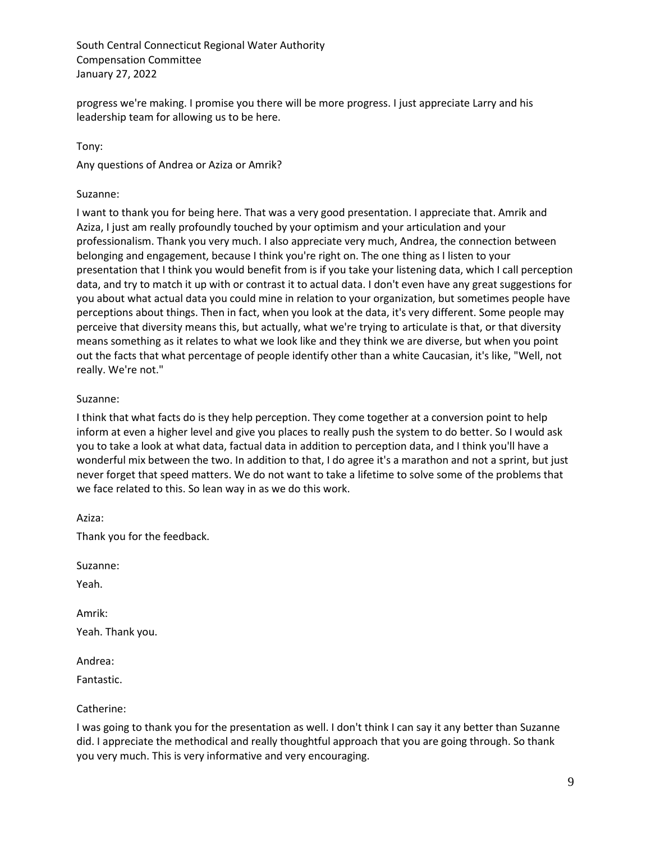progress we're making. I promise you there will be more progress. I just appreciate Larry and his leadership team for allowing us to be here.

## Tony:

Any questions of Andrea or Aziza or Amrik?

## Suzanne:

I want to thank you for being here. That was a very good presentation. I appreciate that. Amrik and Aziza, I just am really profoundly touched by your optimism and your articulation and your professionalism. Thank you very much. I also appreciate very much, Andrea, the connection between belonging and engagement, because I think you're right on. The one thing as I listen to your presentation that I think you would benefit from is if you take your listening data, which I call perception data, and try to match it up with or contrast it to actual data. I don't even have any great suggestions for you about what actual data you could mine in relation to your organization, but sometimes people have perceptions about things. Then in fact, when you look at the data, it's very different. Some people may perceive that diversity means this, but actually, what we're trying to articulate is that, or that diversity means something as it relates to what we look like and they think we are diverse, but when you point out the facts that what percentage of people identify other than a white Caucasian, it's like, "Well, not really. We're not."

## Suzanne:

I think that what facts do is they help perception. They come together at a conversion point to help inform at even a higher level and give you places to really push the system to do better. So I would ask you to take a look at what data, factual data in addition to perception data, and I think you'll have a wonderful mix between the two. In addition to that, I do agree it's a marathon and not a sprint, but just never forget that speed matters. We do not want to take a lifetime to solve some of the problems that we face related to this. So lean way in as we do this work.

Aziza:

Thank you for the feedback.

Suzanne:

Yeah.

Amrik:

Yeah. Thank you.

Andrea:

Fantastic.

## Catherine:

I was going to thank you for the presentation as well. I don't think I can say it any better than Suzanne did. I appreciate the methodical and really thoughtful approach that you are going through. So thank you very much. This is very informative and very encouraging.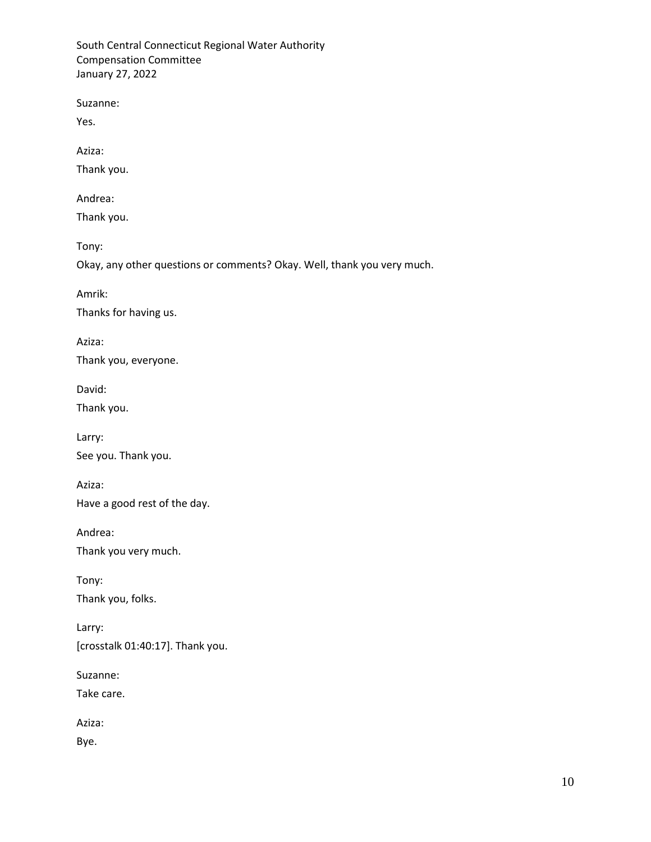Suzanne:

Yes.

Aziza:

Thank you.

Andrea:

Thank you.

Tony:

Okay, any other questions or comments? Okay. Well, thank you very much.

Amrik:

Thanks for having us.

Aziza: Thank you, everyone.

David:

Thank you.

Larry: See you. Thank you.

Aziza: Have a good rest of the day.

Andrea:

Thank you very much.

Tony: Thank you, folks.

Larry: [crosstalk 01:40:17]. Thank you.

Suzanne:

Take care.

Aziza:

Bye.